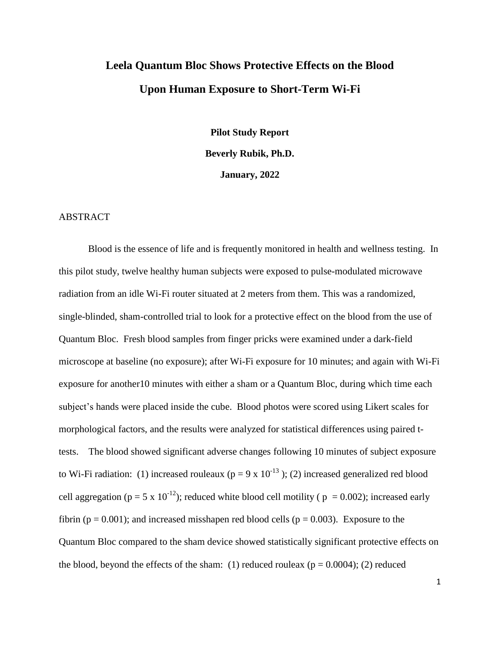# **Leela Quantum Bloc Shows Protective Effects on the Blood Upon Human Exposure to Short-Term Wi-Fi**

**Pilot Study Report Beverly Rubik, Ph.D. January, 2022**

#### ABSTRACT

Blood is the essence of life and is frequently monitored in health and wellness testing. In this pilot study, twelve healthy human subjects were exposed to pulse-modulated microwave radiation from an idle Wi-Fi router situated at 2 meters from them. This was a randomized, single-blinded, sham-controlled trial to look for a protective effect on the blood from the use of Quantum Bloc. Fresh blood samples from finger pricks were examined under a dark-field microscope at baseline (no exposure); after Wi-Fi exposure for 10 minutes; and again with Wi-Fi exposure for another10 minutes with either a sham or a Quantum Bloc, during which time each subject's hands were placed inside the cube. Blood photos were scored using Likert scales for morphological factors, and the results were analyzed for statistical differences using paired ttests. The blood showed significant adverse changes following 10 minutes of subject exposure to Wi-Fi radiation: (1) increased rouleaux ( $p = 9 \times 10^{-13}$ ); (2) increased generalized red blood cell aggregation ( $p = 5 \times 10^{-12}$ ); reduced white blood cell motility ( $p = 0.002$ ); increased early fibrin ( $p = 0.001$ ); and increased misshapen red blood cells ( $p = 0.003$ ). Exposure to the Quantum Bloc compared to the sham device showed statistically significant protective effects on the blood, beyond the effects of the sham: (1) reduced rouleax ( $p = 0.0004$ ); (2) reduced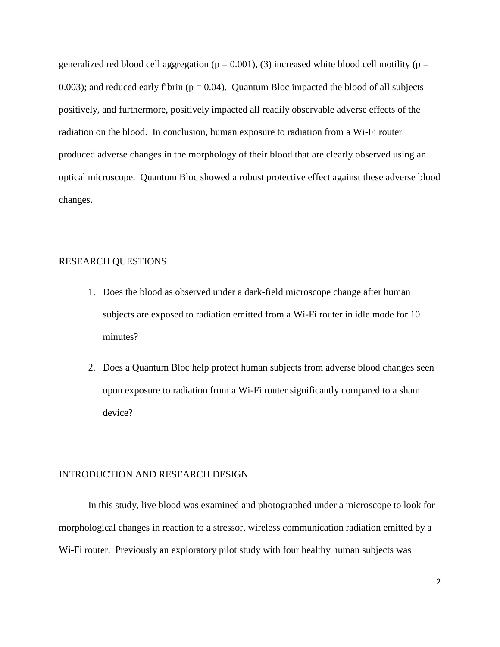generalized red blood cell aggregation ( $p = 0.001$ ), (3) increased white blood cell motility ( $p =$ 0.003); and reduced early fibrin ( $p = 0.04$ ). Quantum Bloc impacted the blood of all subjects positively, and furthermore, positively impacted all readily observable adverse effects of the radiation on the blood. In conclusion, human exposure to radiation from a Wi-Fi router produced adverse changes in the morphology of their blood that are clearly observed using an optical microscope. Quantum Bloc showed a robust protective effect against these adverse blood changes.

## RESEARCH QUESTIONS

- 1. Does the blood as observed under a dark-field microscope change after human subjects are exposed to radiation emitted from a Wi-Fi router in idle mode for 10 minutes?
- 2. Does a Quantum Bloc help protect human subjects from adverse blood changes seen upon exposure to radiation from a Wi-Fi router significantly compared to a sham device?

#### INTRODUCTION AND RESEARCH DESIGN

In this study, live blood was examined and photographed under a microscope to look for morphological changes in reaction to a stressor, wireless communication radiation emitted by a Wi-Fi router. Previously an exploratory pilot study with four healthy human subjects was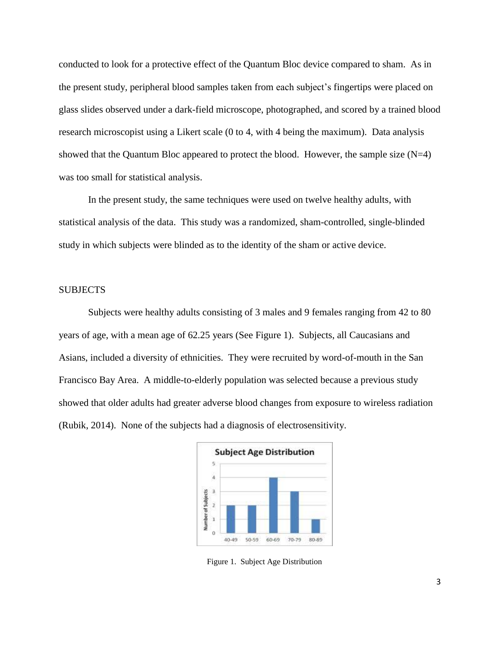conducted to look for a protective effect of the Quantum Bloc device compared to sham. As in the present study, peripheral blood samples taken from each subject's fingertips were placed on glass slides observed under a dark-field microscope, photographed, and scored by a trained blood research microscopist using a Likert scale (0 to 4, with 4 being the maximum). Data analysis showed that the Quantum Bloc appeared to protect the blood. However, the sample size  $(N=4)$ was too small for statistical analysis.

In the present study, the same techniques were used on twelve healthy adults, with statistical analysis of the data. This study was a randomized, sham-controlled, single-blinded study in which subjects were blinded as to the identity of the sham or active device.

## **SUBJECTS**

Subjects were healthy adults consisting of 3 males and 9 females ranging from 42 to 80 years of age, with a mean age of 62.25 years (See Figure 1). Subjects, all Caucasians and Asians, included a diversity of ethnicities. They were recruited by word-of-mouth in the San Francisco Bay Area. A middle-to-elderly population was selected because a previous study showed that older adults had greater adverse blood changes from exposure to wireless radiation (Rubik, 2014). None of the subjects had a diagnosis of electrosensitivity.



Figure 1. Subject Age Distribution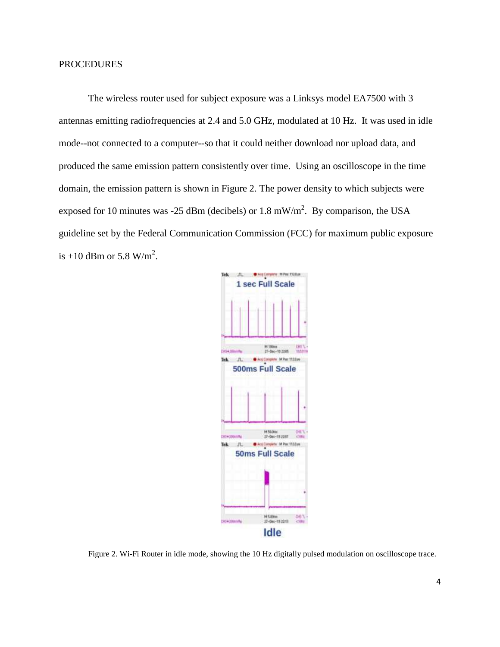The wireless router used for subject exposure was a Linksys model EA7500 with 3 antennas emitting radiofrequencies at 2.4 and 5.0 GHz, modulated at 10 Hz. It was used in idle mode--not connected to a computer--so that it could neither download nor upload data, and produced the same emission pattern consistently over time. Using an oscilloscope in the time domain, the emission pattern is shown in Figure 2. The power density to which subjects were exposed for 10 minutes was -25 dBm (decibels) or 1.8 mW/m<sup>2</sup>. By comparison, the USA guideline set by the Federal Communication Commission (FCC) for maximum public exposure is  $+10$  dBm or 5.8 W/m<sup>2</sup>.



Figure 2. Wi-Fi Router in idle mode, showing the 10 Hz digitally pulsed modulation on oscilloscope trace.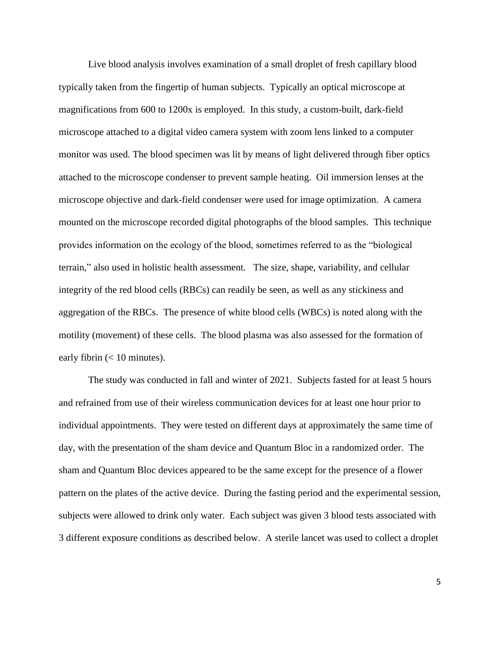Live blood analysis involves examination of a small droplet of fresh capillary blood typically taken from the fingertip of human subjects. Typically an optical microscope at magnifications from 600 to 1200x is employed. In this study, a custom-built, dark-field microscope attached to a digital video camera system with zoom lens linked to a computer monitor was used. The blood specimen was lit by means of light delivered through fiber optics attached to the microscope condenser to prevent sample heating. Oil immersion lenses at the microscope objective and dark-field condenser were used for image optimization. A camera mounted on the microscope recorded digital photographs of the blood samples. This technique provides information on the ecology of the blood, sometimes referred to as the "biological terrain," also used in holistic health assessment. The size, shape, variability, and cellular integrity of the red blood cells (RBCs) can readily be seen, as well as any stickiness and aggregation of the RBCs. The presence of white blood cells (WBCs) is noted along with the motility (movement) of these cells. The blood plasma was also assessed for the formation of early fibrin  $(< 10$  minutes).

The study was conducted in fall and winter of 2021. Subjects fasted for at least 5 hours and refrained from use of their wireless communication devices for at least one hour prior to individual appointments. They were tested on different days at approximately the same time of day, with the presentation of the sham device and Quantum Bloc in a randomized order. The sham and Quantum Bloc devices appeared to be the same except for the presence of a flower pattern on the plates of the active device. During the fasting period and the experimental session, subjects were allowed to drink only water. Each subject was given 3 blood tests associated with 3 different exposure conditions as described below. A sterile lancet was used to collect a droplet

5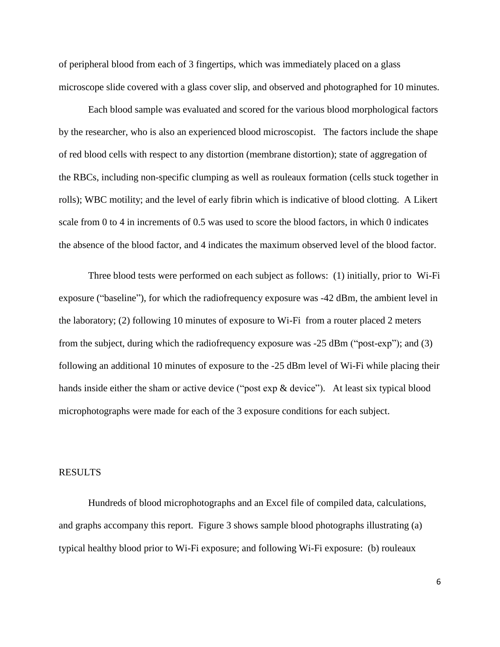of peripheral blood from each of 3 fingertips, which was immediately placed on a glass microscope slide covered with a glass cover slip, and observed and photographed for 10 minutes.

Each blood sample was evaluated and scored for the various blood morphological factors by the researcher, who is also an experienced blood microscopist. The factors include the shape of red blood cells with respect to any distortion (membrane distortion); state of aggregation of the RBCs, including non-specific clumping as well as rouleaux formation (cells stuck together in rolls); WBC motility; and the level of early fibrin which is indicative of blood clotting. A Likert scale from 0 to 4 in increments of 0.5 was used to score the blood factors, in which 0 indicates the absence of the blood factor, and 4 indicates the maximum observed level of the blood factor.

Three blood tests were performed on each subject as follows: (1) initially, prior to Wi-Fi exposure ("baseline"), for which the radiofrequency exposure was -42 dBm, the ambient level in the laboratory; (2) following 10 minutes of exposure to Wi-Fi from a router placed 2 meters from the subject, during which the radiofrequency exposure was -25 dBm ("post-exp"); and (3) following an additional 10 minutes of exposure to the -25 dBm level of Wi-Fi while placing their hands inside either the sham or active device ("post exp & device"). At least six typical blood microphotographs were made for each of the 3 exposure conditions for each subject.

#### RESULTS

Hundreds of blood microphotographs and an Excel file of compiled data, calculations, and graphs accompany this report. Figure 3 shows sample blood photographs illustrating (a) typical healthy blood prior to Wi-Fi exposure; and following Wi-Fi exposure: (b) rouleaux

6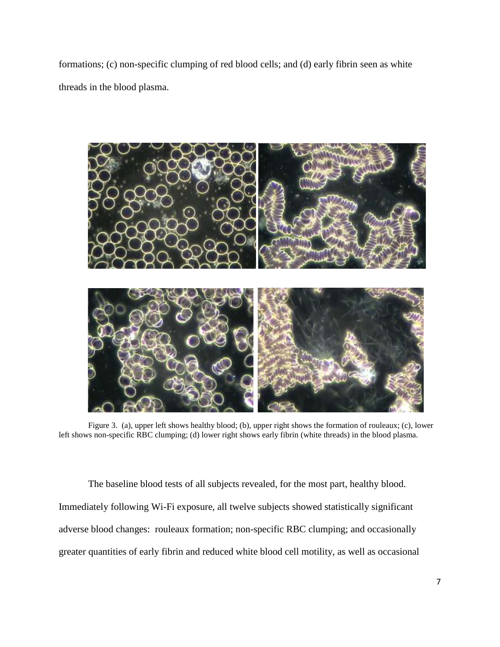formations; (c) non-specific clumping of red blood cells; and (d) early fibrin seen as white threads in the blood plasma.



Figure 3. (a), upper left shows healthy blood; (b), upper right shows the formation of rouleaux; (c), lower left shows non-specific RBC clumping; (d) lower right shows early fibrin (white threads) in the blood plasma.

The baseline blood tests of all subjects revealed, for the most part, healthy blood. Immediately following Wi-Fi exposure, all twelve subjects showed statistically significant adverse blood changes: rouleaux formation; non-specific RBC clumping; and occasionally greater quantities of early fibrin and reduced white blood cell motility, as well as occasional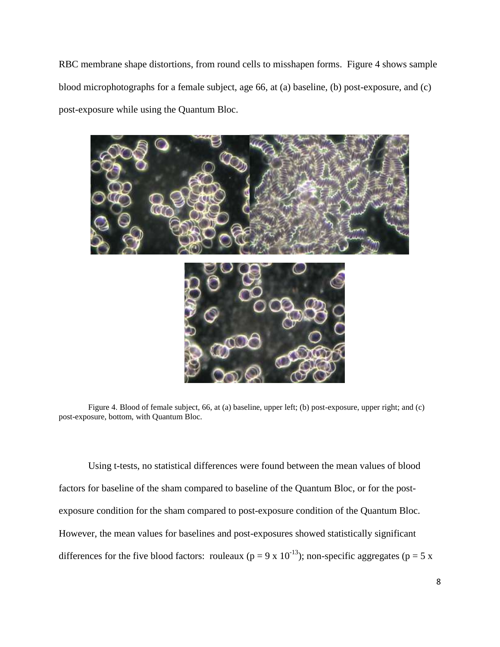RBC membrane shape distortions, from round cells to misshapen forms. Figure 4 shows sample blood microphotographs for a female subject, age 66, at (a) baseline, (b) post-exposure, and (c) post-exposure while using the Quantum Bloc.



Figure 4. Blood of female subject, 66, at (a) baseline, upper left; (b) post-exposure, upper right; and (c) post-exposure, bottom, with Quantum Bloc.

Using t-tests, no statistical differences were found between the mean values of blood factors for baseline of the sham compared to baseline of the Quantum Bloc, or for the postexposure condition for the sham compared to post-exposure condition of the Quantum Bloc. However, the mean values for baselines and post-exposures showed statistically significant differences for the five blood factors: rouleaux ( $p = 9 \times 10^{-13}$ ); non-specific aggregates ( $p = 5 \times 10^{-13}$ )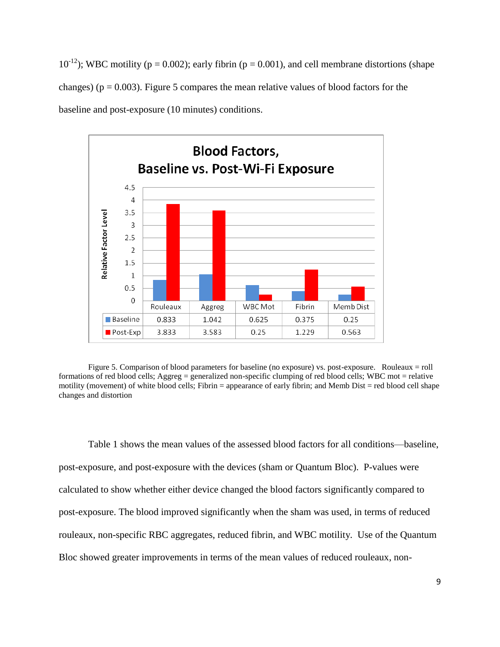$10^{-12}$ ); WBC motility (p = 0.002); early fibrin (p = 0.001), and cell membrane distortions (shape changes) ( $p = 0.003$ ). Figure 5 compares the mean relative values of blood factors for the baseline and post-exposure (10 minutes) conditions.



Figure 5. Comparison of blood parameters for baseline (no exposure) vs. post-exposure. Rouleaux = roll formations of red blood cells; Aggreg = generalized non-specific clumping of red blood cells; WBC mot = relative motility (movement) of white blood cells; Fibrin = appearance of early fibrin; and Memb Dist = red blood cell shape changes and distortion

Table 1 shows the mean values of the assessed blood factors for all conditions—baseline, post-exposure, and post-exposure with the devices (sham or Quantum Bloc). P-values were calculated to show whether either device changed the blood factors significantly compared to post-exposure. The blood improved significantly when the sham was used, in terms of reduced rouleaux, non-specific RBC aggregates, reduced fibrin, and WBC motility. Use of the Quantum Bloc showed greater improvements in terms of the mean values of reduced rouleaux, non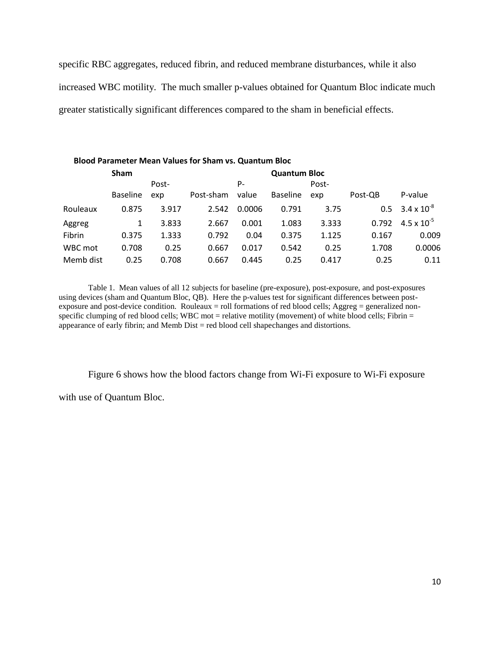specific RBC aggregates, reduced fibrin, and reduced membrane disturbances, while it also increased WBC motility. The much smaller p-values obtained for Quantum Bloc indicate much greater statistically significant differences compared to the sham in beneficial effects.

| <b>Blood Parameter Mean Values for Sham vs. Quantum Bloc</b> |                 |       |           |                     |                 |       |         |                      |  |  |
|--------------------------------------------------------------|-----------------|-------|-----------|---------------------|-----------------|-------|---------|----------------------|--|--|
|                                                              | <b>Sham</b>     |       |           | <b>Quantum Bloc</b> |                 |       |         |                      |  |  |
|                                                              | Post-           |       | P-        |                     |                 | Post- |         |                      |  |  |
|                                                              | <b>Baseline</b> | exp   | Post-sham | value               | <b>Baseline</b> | exp   | Post-QB | P-value              |  |  |
| Rouleaux                                                     | 0.875           | 3.917 | 2.542     | 0.0006              | 0.791           | 3.75  | 0.5     | $3.4 \times 10^{-8}$ |  |  |
| Aggreg                                                       | 1               | 3.833 | 2.667     | 0.001               | 1.083           | 3.333 | 0.792   | $4.5 \times 10^{-5}$ |  |  |
| Fibrin                                                       | 0.375           | 1.333 | 0.792     | 0.04                | 0.375           | 1.125 | 0.167   | 0.009                |  |  |
| WBC mot                                                      | 0.708           | 0.25  | 0.667     | 0.017               | 0.542           | 0.25  | 1.708   | 0.0006               |  |  |
| Memb dist                                                    | 0.25            | 0.708 | 0.667     | 0.445               | 0.25            | 0.417 | 0.25    | 0.11                 |  |  |

Table 1. Mean values of all 12 subjects for baseline (pre-exposure), post-exposure, and post-exposures using devices (sham and Quantum Bloc, QB). Here the p-values test for significant differences between postexposure and post-device condition. Rouleaux = roll formations of red blood cells; Aggreg = generalized nonspecific clumping of red blood cells; WBC mot = relative motility (movement) of white blood cells; Fibrin = appearance of early fibrin; and Memb  $Dist = red$  blood cell shapechanges and distortions.

Figure 6 shows how the blood factors change from Wi-Fi exposure to Wi-Fi exposure

with use of Quantum Bloc.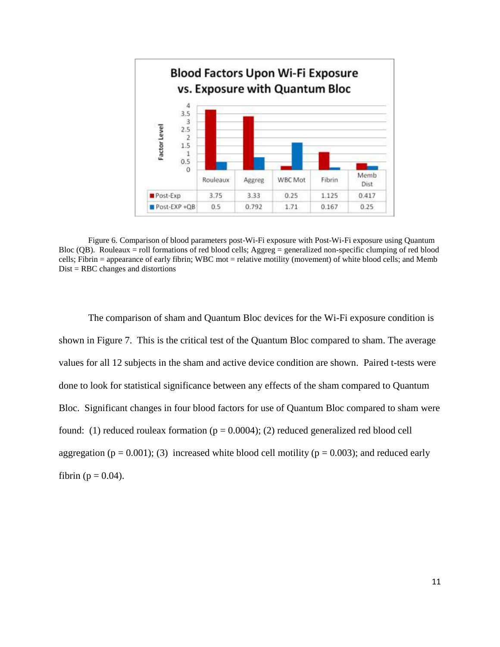

Figure 6. Comparison of blood parameters post-Wi-Fi exposure with Post-Wi-Fi exposure using Quantum Bloc (QB). Rouleaux = roll formations of red blood cells; Aggreg = generalized non-specific clumping of red blood cells; Fibrin = appearance of early fibrin; WBC mot = relative motility (movement) of white blood cells; and Memb Dist = RBC changes and distortions

The comparison of sham and Quantum Bloc devices for the Wi-Fi exposure condition is shown in Figure 7. This is the critical test of the Quantum Bloc compared to sham. The average values for all 12 subjects in the sham and active device condition are shown. Paired t-tests were done to look for statistical significance between any effects of the sham compared to Quantum Bloc. Significant changes in four blood factors for use of Quantum Bloc compared to sham were found: (1) reduced rouleax formation ( $p = 0.0004$ ); (2) reduced generalized red blood cell aggregation ( $p = 0.001$ ); (3) increased white blood cell motility ( $p = 0.003$ ); and reduced early fibrin ( $p = 0.04$ ).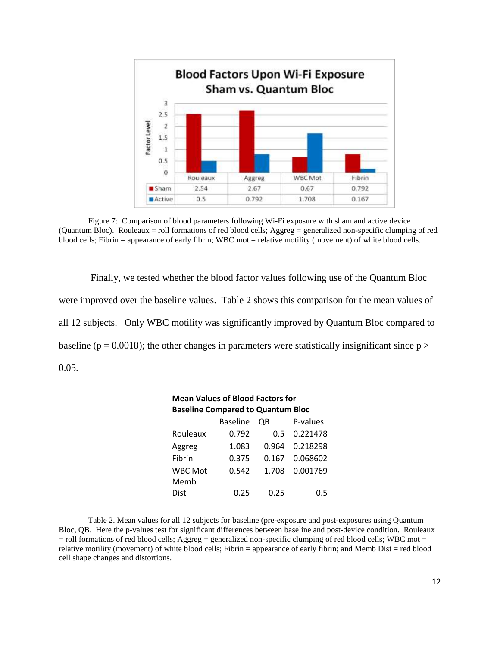

Figure 7: Comparison of blood parameters following Wi-Fi exposure with sham and active device (Quantum Bloc). Rouleaux = roll formations of red blood cells; Aggreg = generalized non-specific clumping of red blood cells; Fibrin = appearance of early fibrin; WBC mot = relative motility (movement) of white blood cells.

Finally, we tested whether the blood factor values following use of the Quantum Bloc were improved over the baseline values. Table 2 shows this comparison for the mean values of all 12 subjects. Only WBC motility was significantly improved by Quantum Bloc compared to baseline ( $p = 0.0018$ ); the other changes in parameters were statistically insignificant since  $p >$ 0.05.

| <b>Mean Values of Blood Factors for</b>  |                 |       |          |  |  |  |  |  |  |
|------------------------------------------|-----------------|-------|----------|--|--|--|--|--|--|
| <b>Baseline Compared to Quantum Bloc</b> |                 |       |          |  |  |  |  |  |  |
|                                          | <b>Baseline</b> | OΒ    | P-values |  |  |  |  |  |  |
| Rouleaux                                 | 0.792           | 0.5   | 0.221478 |  |  |  |  |  |  |
| Aggreg                                   | 1.083           | 0.964 | 0.218298 |  |  |  |  |  |  |
| Fibrin                                   | 0.375           | 0.167 | 0.068602 |  |  |  |  |  |  |
| <b>WBC Mot</b>                           | 0.542           | 1.708 | 0.001769 |  |  |  |  |  |  |
| Memb                                     |                 |       |          |  |  |  |  |  |  |
| Dist                                     | 0.25            | N.25  | 0.5      |  |  |  |  |  |  |

Table 2. Mean values for all 12 subjects for baseline (pre-exposure and post-exposures using Quantum Bloc, QB. Here the p-values test for significant differences between baseline and post-device condition. Rouleaux  $=$  roll formations of red blood cells; Aggreg  $=$  generalized non-specific clumping of red blood cells; WBC mot  $=$ relative motility (movement) of white blood cells; Fibrin = appearance of early fibrin; and Memb Dist = red blood cell shape changes and distortions.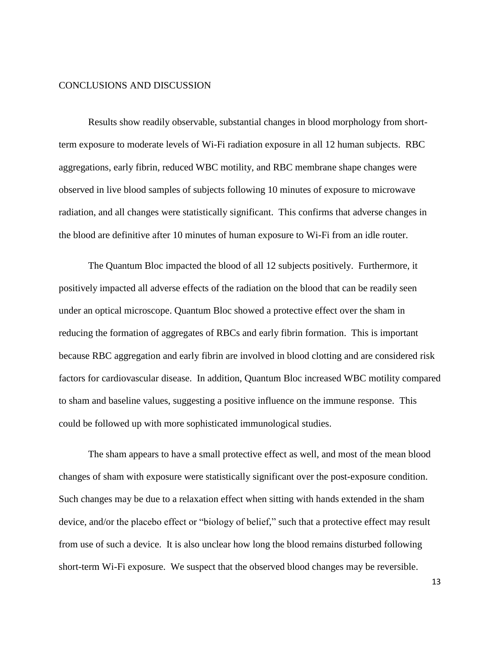## CONCLUSIONS AND DISCUSSION

Results show readily observable, substantial changes in blood morphology from shortterm exposure to moderate levels of Wi-Fi radiation exposure in all 12 human subjects. RBC aggregations, early fibrin, reduced WBC motility, and RBC membrane shape changes were observed in live blood samples of subjects following 10 minutes of exposure to microwave radiation, and all changes were statistically significant. This confirms that adverse changes in the blood are definitive after 10 minutes of human exposure to Wi-Fi from an idle router.

The Quantum Bloc impacted the blood of all 12 subjects positively. Furthermore, it positively impacted all adverse effects of the radiation on the blood that can be readily seen under an optical microscope. Quantum Bloc showed a protective effect over the sham in reducing the formation of aggregates of RBCs and early fibrin formation. This is important because RBC aggregation and early fibrin are involved in blood clotting and are considered risk factors for cardiovascular disease. In addition, Quantum Bloc increased WBC motility compared to sham and baseline values, suggesting a positive influence on the immune response. This could be followed up with more sophisticated immunological studies.

The sham appears to have a small protective effect as well, and most of the mean blood changes of sham with exposure were statistically significant over the post-exposure condition. Such changes may be due to a relaxation effect when sitting with hands extended in the sham device, and/or the placebo effect or "biology of belief," such that a protective effect may result from use of such a device. It is also unclear how long the blood remains disturbed following short-term Wi-Fi exposure. We suspect that the observed blood changes may be reversible.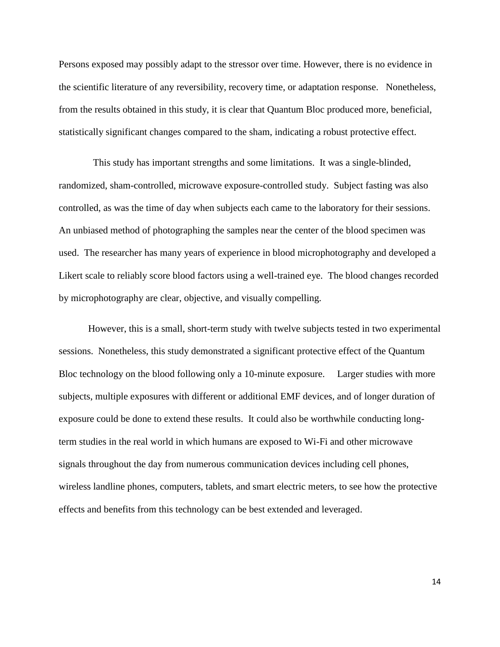Persons exposed may possibly adapt to the stressor over time. However, there is no evidence in the scientific literature of any reversibility, recovery time, or adaptation response. Nonetheless, from the results obtained in this study, it is clear that Quantum Bloc produced more, beneficial, statistically significant changes compared to the sham, indicating a robust protective effect.

 This study has important strengths and some limitations. It was a single-blinded, randomized, sham-controlled, microwave exposure-controlled study. Subject fasting was also controlled, as was the time of day when subjects each came to the laboratory for their sessions. An unbiased method of photographing the samples near the center of the blood specimen was used. The researcher has many years of experience in blood microphotography and developed a Likert scale to reliably score blood factors using a well-trained eye. The blood changes recorded by microphotography are clear, objective, and visually compelling.

However, this is a small, short-term study with twelve subjects tested in two experimental sessions. Nonetheless, this study demonstrated a significant protective effect of the Quantum Bloc technology on the blood following only a 10-minute exposure. Larger studies with more subjects, multiple exposures with different or additional EMF devices, and of longer duration of exposure could be done to extend these results. It could also be worthwhile conducting longterm studies in the real world in which humans are exposed to Wi-Fi and other microwave signals throughout the day from numerous communication devices including cell phones, wireless landline phones, computers, tablets, and smart electric meters, to see how the protective effects and benefits from this technology can be best extended and leveraged.